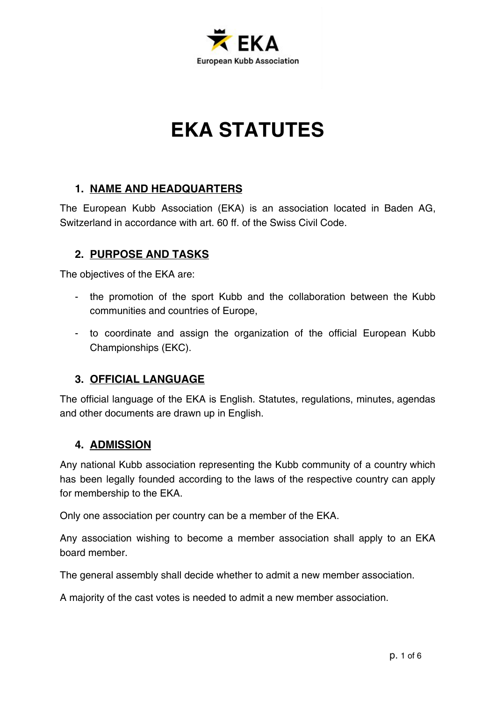

# **EKA STATUTES**

## **1. NAME AND HEADQUARTERS**

The European Kubb Association (EKA) is an association located in Baden AG, Switzerland in accordance with art. 60 ff. of the Swiss Civil Code.

## **2. PURPOSE AND TASKS**

The objectives of the EKA are:

- the promotion of the sport Kubb and the collaboration between the Kubb communities and countries of Europe,
- to coordinate and assign the organization of the official European Kubb Championships (EKC).

#### **3. OFFICIAL LANGUAGE**

The official language of the EKA is English. Statutes, regulations, minutes, agendas and other documents are drawn up in English.

#### **4. ADMISSION**

Any national Kubb association representing the Kubb community of a country which has been legally founded according to the laws of the respective country can apply for membership to the EKA.

Only one association per country can be a member of the EKA.

Any association wishing to become a member association shall apply to an EKA board member.

The general assembly shall decide whether to admit a new member association.

A majority of the cast votes is needed to admit a new member association.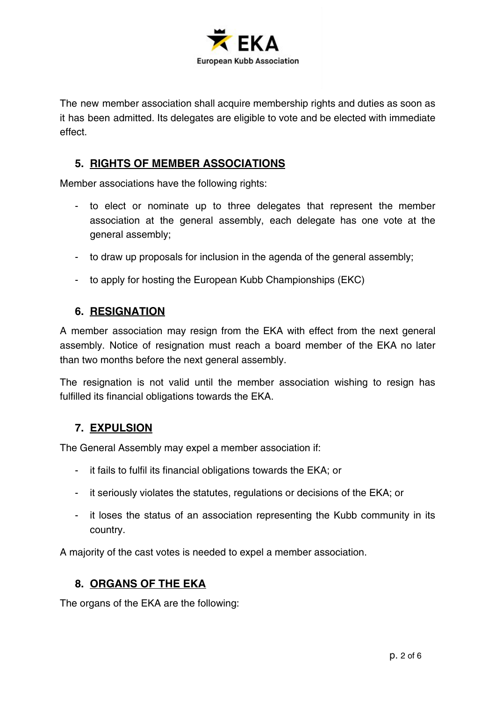

The new member association shall acquire membership rights and duties as soon as it has been admitted. Its delegates are eligible to vote and be elected with immediate effect.

## **5. RIGHTS OF MEMBER ASSOCIATIONS**

Member associations have the following rights:

- to elect or nominate up to three delegates that represent the member association at the general assembly, each delegate has one vote at the general assembly;
- to draw up proposals for inclusion in the agenda of the general assembly;
- to apply for hosting the European Kubb Championships (EKC)

#### **6. RESIGNATION**

A member association may resign from the EKA with effect from the next general assembly. Notice of resignation must reach a board member of the EKA no later than two months before the next general assembly.

The resignation is not valid until the member association wishing to resign has fulfilled its financial obligations towards the EKA.

## **7. EXPULSION**

The General Assembly may expel a member association if:

- it fails to fulfil its financial obligations towards the EKA; or
- it seriously violates the statutes, regulations or decisions of the EKA; or
- it loses the status of an association representing the Kubb community in its country.

A majority of the cast votes is needed to expel a member association.

#### **8. ORGANS OF THE EKA**

The organs of the EKA are the following: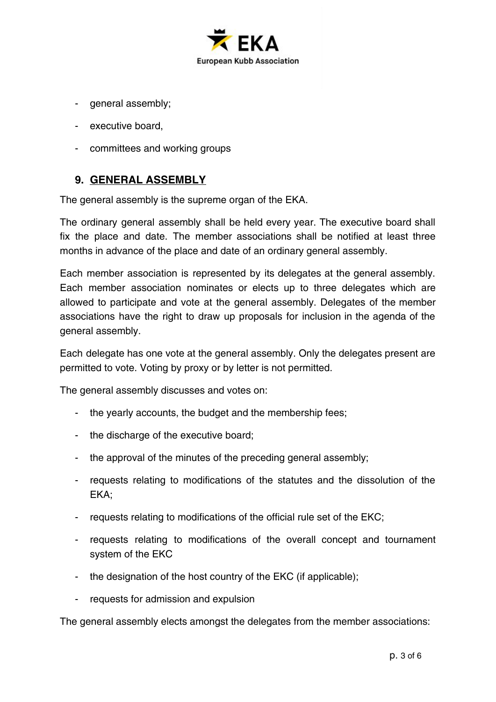

- general assembly;
- executive board,
- committees and working groups

## **9. GENERAL ASSEMBLY**

The general assembly is the supreme organ of the EKA.

The ordinary general assembly shall be held every year. The executive board shall fix the place and date. The member associations shall be notified at least three months in advance of the place and date of an ordinary general assembly.

Each member association is represented by its delegates at the general assembly. Each member association nominates or elects up to three delegates which are allowed to participate and vote at the general assembly. Delegates of the member associations have the right to draw up proposals for inclusion in the agenda of the general assembly.

Each delegate has one vote at the general assembly. Only the delegates present are permitted to vote. Voting by proxy or by letter is not permitted.

The general assembly discusses and votes on:

- the yearly accounts, the budget and the membership fees;
- the discharge of the executive board;
- the approval of the minutes of the preceding general assembly;
- requests relating to modifications of the statutes and the dissolution of the EKA;
- requests relating to modifications of the official rule set of the EKC;
- requests relating to modifications of the overall concept and tournament system of the EKC
- the designation of the host country of the EKC (if applicable);
- requests for admission and expulsion

The general assembly elects amongst the delegates from the member associations: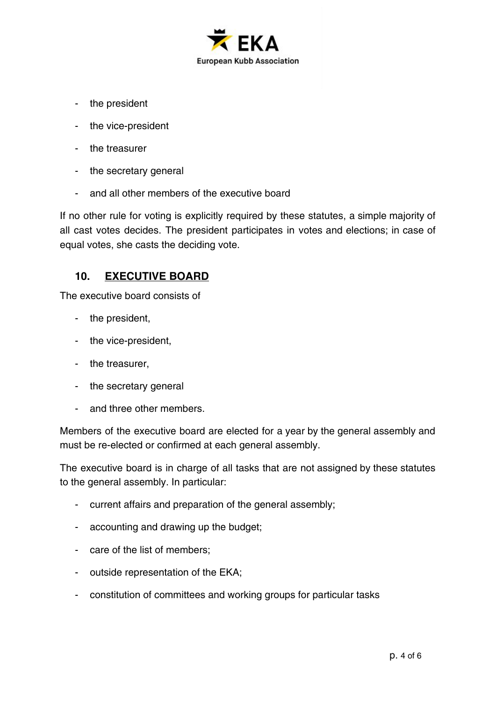

- the president
- the vice-president
- the treasurer
- the secretary general
- and all other members of the executive board

If no other rule for voting is explicitly required by these statutes, a simple majority of all cast votes decides. The president participates in votes and elections; in case of equal votes, she casts the deciding vote.

#### **10. EXECUTIVE BOARD**

The executive board consists of

- the president,
- the vice-president,
- the treasurer,
- the secretary general
- and three other members.

Members of the executive board are elected for a year by the general assembly and must be re-elected or confirmed at each general assembly.

The executive board is in charge of all tasks that are not assigned by these statutes to the general assembly. In particular:

- current affairs and preparation of the general assembly;
- accounting and drawing up the budget;
- care of the list of members;
- outside representation of the EKA;
- constitution of committees and working groups for particular tasks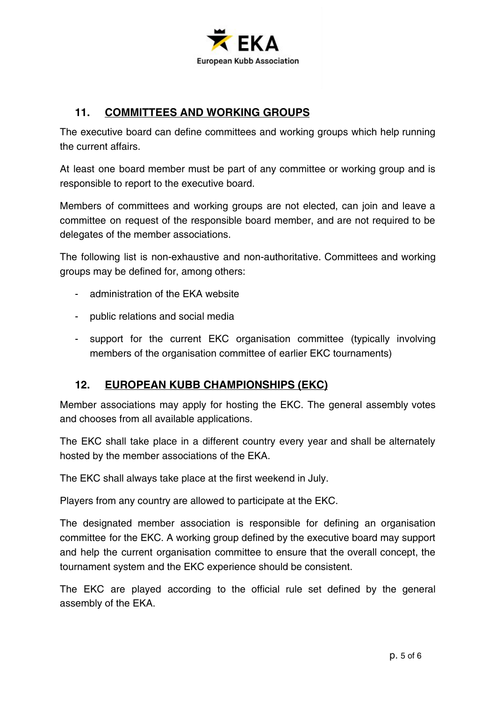

## **11. COMMITTEES AND WORKING GROUPS**

The executive board can define committees and working groups which help running the current affairs.

At least one board member must be part of any committee or working group and is responsible to report to the executive board.

Members of committees and working groups are not elected, can join and leave a committee on request of the responsible board member, and are not required to be delegates of the member associations.

The following list is non-exhaustive and non-authoritative. Committees and working groups may be defined for, among others:

- administration of the EKA website
- public relations and social media
- support for the current EKC organisation committee (typically involving members of the organisation committee of earlier EKC tournaments)

#### **12. EUROPEAN KUBB CHAMPIONSHIPS (EKC)**

Member associations may apply for hosting the EKC. The general assembly votes and chooses from all available applications.

The EKC shall take place in a different country every year and shall be alternately hosted by the member associations of the EKA.

The EKC shall always take place at the first weekend in July.

Players from any country are allowed to participate at the EKC.

The designated member association is responsible for defining an organisation committee for the EKC. A working group defined by the executive board may support and help the current organisation committee to ensure that the overall concept, the tournament system and the EKC experience should be consistent.

The EKC are played according to the official rule set defined by the general assembly of the EKA.